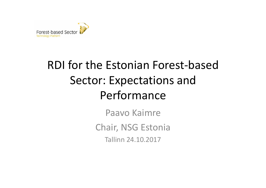

#### RDI for the Estonian Forest-based Sector: Expectations and Performance

Paavo Kaimre Chair, NSG Estonia Tallinn 24.10.2017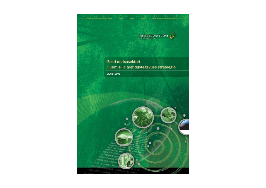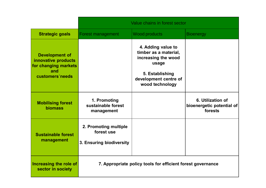|                                                                                                | Value chains in forest sector                                   |                                                                                                                                            |                                                           |
|------------------------------------------------------------------------------------------------|-----------------------------------------------------------------|--------------------------------------------------------------------------------------------------------------------------------------------|-----------------------------------------------------------|
| <b>Strategic goals</b>                                                                         | <b>Forest management</b>                                        | <b>Wood products</b>                                                                                                                       | <b>Bioenergy</b>                                          |
| <b>Development of</b><br>innovative products<br>for changing markets<br>and<br>customers needs |                                                                 | 4. Adding value to<br>timber as a material,<br>increasing the wood<br>usage<br>5. Establishing<br>development centre of<br>wood technology |                                                           |
| <b>Mobilising forest</b><br><b>biomass</b>                                                     | 1. Promoting<br>sustainable forest<br>management                |                                                                                                                                            | 6. Utilization of<br>bioenergetic potential of<br>forests |
| <b>Sustainable forest</b><br>management                                                        | 2. Promoting multiple<br>forest use<br>3. Ensuring biodiversity |                                                                                                                                            |                                                           |
| Increasing the role of<br>sector in society                                                    | 7. Appropriate policy tools for efficient forest governance     |                                                                                                                                            |                                                           |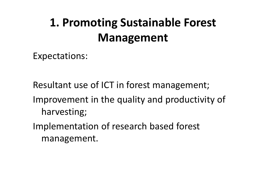### **1. Promoting Sustainable Forest Management**

Expectations:

Resultant use of ICT in forest management; Improvement in the quality and productivity of

harvesting;

Implementation of research based forest management.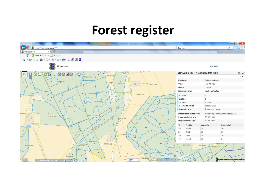#### **Forest register**

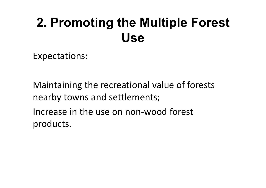## **2. Promoting the Multiple Forest Use**

Expectations:

Maintaining the recreational value of forests nearby towns and settlements; Increase in the use on non-wood forest products.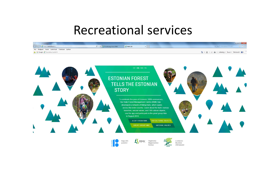#### Recreational services







Looduses liikumise võimalused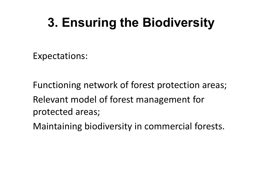## **3. Ensuring the Biodiversity**

Expectations:

Functioning network of forest protection areas; Relevant model of forest management for protected areas;

Maintaining biodiversity in commercial forests.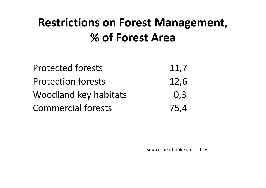#### **Restrictions on Forest Management, % of Forest Area**

| <b>Protected forests</b>  | 11,7 |
|---------------------------|------|
| <b>Protection forests</b> | 12,6 |
| Woodland key habitats     | 0,3  |
| <b>Commercial forests</b> | 75,4 |

Source: Yearbook Forest 2016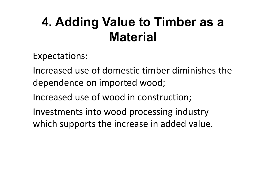## **4. Adding Value to Timber as a Material**

Expectations:

Increased use of domestic timber diminishes the dependence on imported wood;

Increased use of wood in construction;

Investments into wood processing industry which supports the increase in added value.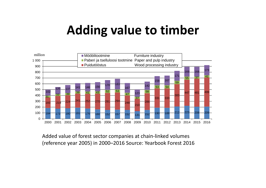#### **Adding value to timber**



Added value of forest sector companies at chain-linked volumes (reference year 2005) in 2000–2016 Source: Yearbook Forest 2016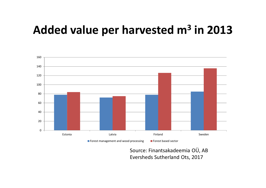#### **Added value per harvested m3 in 2013**



Source: Finantsakadeemia OÜ, AB Eversheds Sutherland Ots, 2017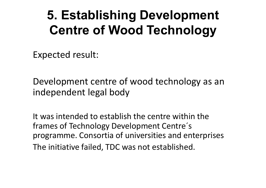## **5. Establishing Development Centre of Wood Technology**

Expected result:

Development centre of wood technology as an independent legal body

It was intended to establish the centre within the frames of Technology Development Centre´s programme. Consortia of universities and enterprises The initiative failed, TDC was not established.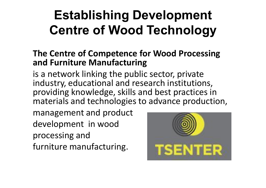# **Establishing Development Centre of Wood Technology**

#### **The Centre of Competence for Wood Processing and Furniture Manufacturing**

is a network linking the public sector, private industry, educational and research institutions, providing knowledge, skills and best practices in materials and technologies to advance production,

management and product development in wood processing and furniture manufacturing.

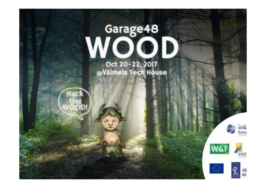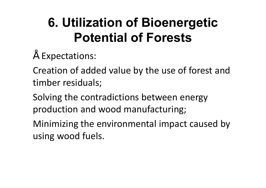## **6. Utilization of Bioenergetic Potential of Forests**

#### • Expectations:

Creation of added value by the use of forest and timber residuals;

Solving the contradictions between energy production and wood manufacturing;

Minimizing the environmental impact caused by using wood fuels.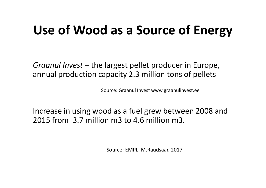### **Use of Wood as a Source of Energy**

*Graanul Invest* – the largest pellet producer in Europe, annual production capacity 2.3 million tons of pellets

Source: Graanul Invest www.graanulinvest.ee

Increase in using wood as a fuel grew between 2008 and 2015 from 3.7 million m3 to 4.6 million m3.

Source: EMPL, M.Raudsaar, 2017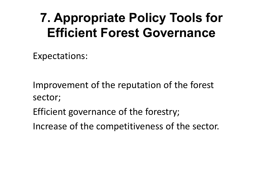## **7. Appropriate Policy Tools for Efficient Forest Governance**

Expectations:

Improvement of the reputation of the forest sector;

- Efficient governance of the forestry;
- Increase of the competitiveness of the sector.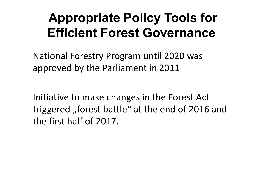## **Appropriate Policy Tools for Efficient Forest Governance**

National Forestry Program until 2020 was approved by the Parliament in 2011

Initiative to make changes in the Forest Act triggered "forest battle" at the end of 2016 and the first half of 2017.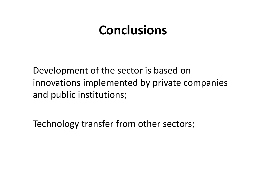#### **Conclusions**

Development of the sector is based on innovations implemented by private companies and public institutions;

Technology transfer from other sectors;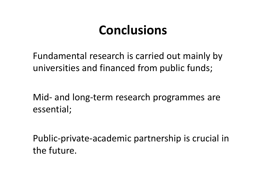### **Conclusions**

Fundamental research is carried out mainly by universities and financed from public funds;

Mid- and long-term research programmes are essential;

Public-private-academic partnership is crucial in the future.